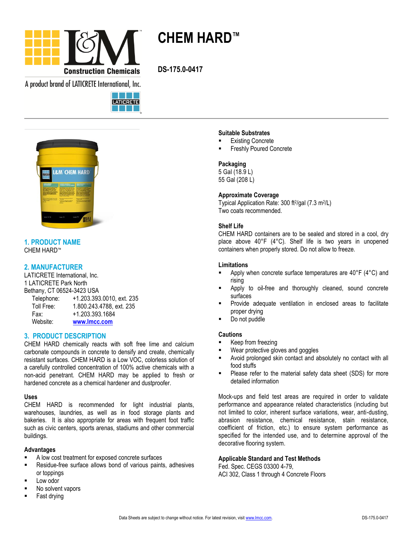

**CHEM HARD™**

**DS-175.0-0417**

A product brand of LATICRETE International, Inc.





# **1. PRODUCT NAME** CHEM HARD™

# **2. MANUFACTURER**

LATICRETE International, Inc. 1 LATICRETE Park North Bethany, CT 06524-3423 USA Telephone: +1.203.393.0010, ext. 235<br>Toll Free: 1.800.243.4788, ext. 235 1.800.243.4788, ext. 235 Fax: +1.203.393.1684

Website: **[www.lmcc.com](http://www.lmcc.com/)**

# **3. PRODUCT DESCRIPTION**

CHEM HARD chemically reacts with soft free lime and calcium carbonate compounds in concrete to densify and create, chemically resistant surfaces. CHEM HARD is a Low VOC, colorless solution of a carefully controlled concentration of 100% active chemicals with a non-acid penetrant. CHEM HARD may be applied to fresh or hardened concrete as a chemical hardener and dustproofer.

## **Uses**

CHEM HARD is recommended for light industrial plants, warehouses, laundries, as well as in food storage plants and bakeries. It is also appropriate for areas with frequent foot traffic such as civic centers, sports arenas, stadiums and other commercial buildings.

# **Advantages**

- A low cost treatment for exposed concrete surfaces
- **Residue-free surface allows bond of various paints, adhesives** or toppings
- Low odor
- No solvent vapors
- Fast drying

## **Suitable Substrates**

- Existing Concrete
- Freshly Poured Concrete

## **Packaging**

5 Gal (18.9 L) 55 Gal (208 L)

## **Approximate Coverage**

Typical Application Rate: 300 ft<sup>2</sup>/gal (7.3 m<sup>2</sup>/L) Two coats recommended.

## **Shelf Life**

CHEM HARD containers are to be sealed and stored in a cool, dry place above 40°F (4°C). Shelf life is two years in unopened containers when properly stored. Do not allow to freeze.

## **Limitations**

- Apply when concrete surface temperatures are 40°F (4°C) and rising
- Apply to oil-free and thoroughly cleaned, sound concrete surfaces
- Provide adequate ventilation in enclosed areas to facilitate proper drying
- Do not puddle

## **Cautions**

- Keep from freezing
- Wear protective gloves and goggles
- Avoid prolonged skin contact and absolutely no contact with all food stuffs
- Please refer to the material safety data sheet (SDS) for more detailed information

Mock-ups and field test areas are required in order to validate performance and appearance related characteristics (including but not limited to color, inherent surface variations, wear, anti-dusting, abrasion resistance, chemical resistance, stain resistance, coefficient of friction, etc.) to ensure system performance as specified for the intended use, and to determine approval of the decorative flooring system.

## **Applicable Standard and Test Methods**

Fed. Spec. CEGS 03300 4-79, ACI 302, Class 1 through 4 Concrete Floors